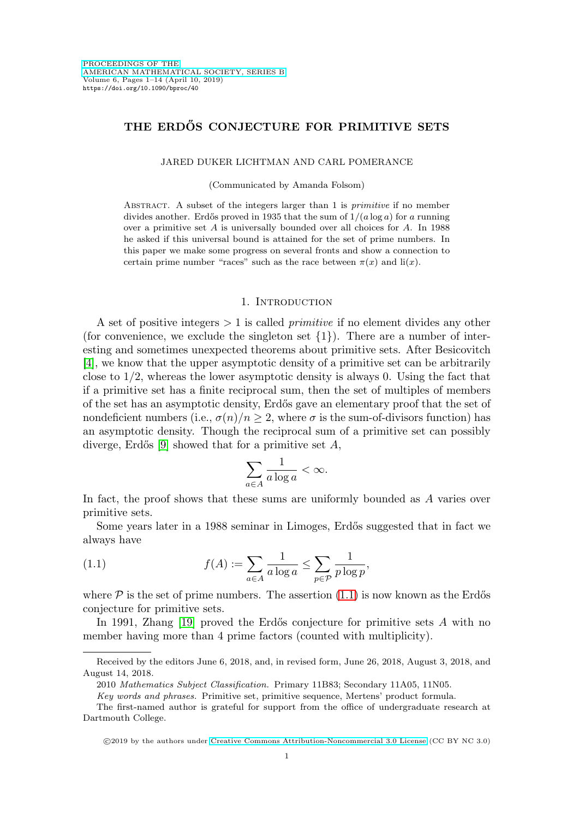# **THE ERDOS CONJECTURE FOR PRIMITIVE SETS ˝**

#### JARED DUKER LICHTMAN AND CARL POMERANCE

(Communicated by Amanda Folsom)

ABSTRACT. A subset of the integers larger than 1 is *primitive* if no member divides another. Erdős proved in 1935 that the sum of  $1/(a \log a)$  for a running over a primitive set  $A$  is universally bounded over all choices for  $A$ . In 1988 he asked if this universal bound is attained for the set of prime numbers. In this paper we make some progress on several fronts and show a connection to certain prime number "races" such as the race between  $\pi(x)$  and  $\text{li}(x)$ .

#### 1. INTRODUCTION

A set of positive integers  $> 1$  is called *primitive* if no element divides any other (for convenience, we exclude the singleton set  $\{1\}$ ). There are a number of interesting and sometimes unexpected theorems about primitive sets. After Besicovitch [\[4\]](#page-12-0), we know that the upper asymptotic density of a primitive set can be arbitrarily close to  $1/2$ , whereas the lower asymptotic density is always 0. Using the fact that if a primitive set has a finite reciprocal sum, then the set of multiples of members of the set has an asymptotic density, Erd˝os gave an elementary proof that the set of nondeficient numbers (i.e.,  $\sigma(n)/n \geq 2$ , where  $\sigma$  is the sum-of-divisors function) has an asymptotic density. Though the reciprocal sum of a primitive set can possibly diverge, Erdős [\[9\]](#page-12-1) showed that for a primitive set  $A$ ,

$$
\sum_{a \in A} \frac{1}{a \log a} < \infty.
$$

In fact, the proof shows that these sums are uniformly bounded as A varies over primitive sets.

Some years later in a 1988 seminar in Limoges, Erd˝os suggested that in fact we always have

<span id="page-0-0"></span>(1.1) 
$$
f(A) := \sum_{a \in A} \frac{1}{a \log a} \le \sum_{p \in \mathcal{P}} \frac{1}{p \log p},
$$

where  $P$  is the set of prime numbers. The assertion [\(1.1\)](#page-0-0) is now known as the Erdős conjecture for primitive sets.

In 1991, Zhang  $[19]$  proved the Erdős conjecture for primitive sets A with no member having more than 4 prime factors (counted with multiplicity).

Received by the editors June 6, 2018, and, in revised form, June 26, 2018, August 3, 2018, and August 14, 2018.

<sup>2010</sup> Mathematics Subject Classification. Primary 11B83; Secondary 11A05, 11N05.

Key words and phrases. Primitive set, primitive sequence, Mertens' product formula.

The first-named author is grateful for support from the office of undergraduate research at Dartmouth College.

<sup>-</sup>c 2019 by the authors under [Creative Commons Attribution-Noncommercial 3.0 License](https://creativecommons.org/licenses/by-nc/3.0/) (CC BY NC 3.0)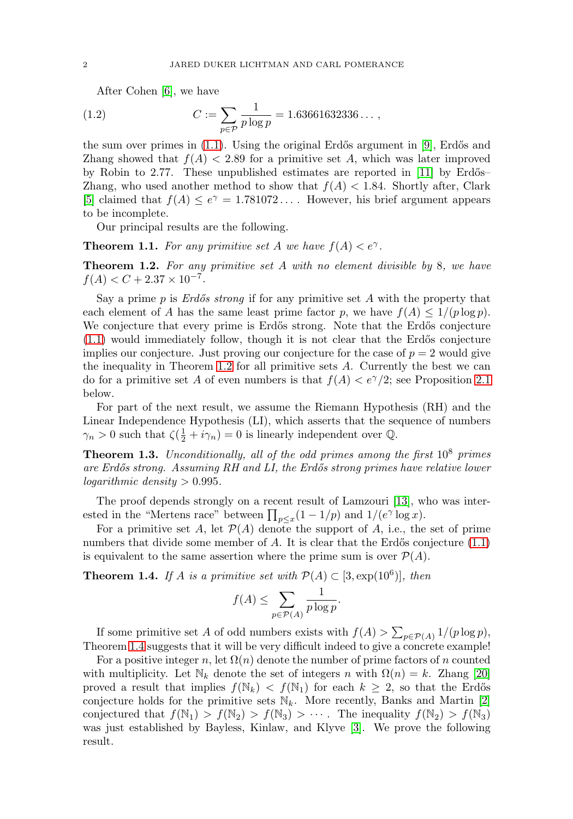After Cohen [\[6\]](#page-12-2), we have

<span id="page-1-4"></span>(1.2) 
$$
C := \sum_{p \in \mathcal{P}} \frac{1}{p \log p} = 1.63661632336\dots,
$$

the sum over primes in  $(1.1)$ . Using the original Erdős argument in [\[9\]](#page-12-1), Erdős and Zhang showed that  $f(A) < 2.89$  for a primitive set A, which was later improved by Robin to 2.77. These unpublished estimates are reported in  $[11]$  by Erdős– Zhang, who used another method to show that  $f(A) < 1.84$ . Shortly after, Clark [\[5\]](#page-12-3) claimed that  $f(A) \leq e^{\gamma} = 1.781072...$  However, his brief argument appears to be incomplete.

Our principal results are the following.

<span id="page-1-2"></span>**Theorem 1.1.** For any primitive set A we have  $f(A) < e^{\gamma}$ .

<span id="page-1-0"></span>**Theorem 1.2.** For any primitive set A with no element divisible by 8, we have  $f(A) < C + 2.37 \times 10^{-7}$ .

Say a prime  $p$  is *Erdős strong* if for any primitive set  $A$  with the property that each element of A has the same least prime factor p, we have  $f(A) \leq 1/(p \log p)$ . We conjecture that every prime is Erdős strong. Note that the Erdős conjecture  $(1.1)$  would immediately follow, though it is not clear that the Erdős conjecture implies our conjecture. Just proving our conjecture for the case of  $p = 2$  would give the inequality in Theorem [1.2](#page-1-0) for all primitive sets A. Currently the best we can do for a primitive set A of even numbers is that  $f(A) < e^{\gamma}/2$ ; see Proposition [2.1](#page-2-0) below.

For part of the next result, we assume the Riemann Hypothesis (RH) and the Linear Independence Hypothesis (LI), which asserts that the sequence of numbers  $\gamma_n > 0$  such that  $\zeta(\frac{1}{2} + i\gamma_n) = 0$  is linearly independent over  $\mathbb{Q}$ .

<span id="page-1-3"></span>**Theorem 1.3.** Unconditionally, all of the odd primes among the first  $10^8$  primes are Erdős strong. Assuming RH and LI, the Erdős strong primes have relative lower logarithmic density  $> 0.995$ .

The proof depends strongly on a recent result of Lamzouri [\[13\]](#page-13-2), who was interested in the "Mertens race" between  $\prod_{p\leq x}(1-1/p)$  and  $1/(e^{\gamma}\log x)$ .

For a primitive set A, let  $\mathcal{P}(A)$  denote the support of A, i.e., the set of prime numbers that divide some member of A. It is clear that the Erdős conjecture  $(1.1)$ is equivalent to the same assertion where the prime sum is over  $\mathcal{P}(A)$ .

<span id="page-1-1"></span>**Theorem 1.4.** If A is a primitive set with  $\mathcal{P}(A) \subset [3, \exp(10^6)]$ , then

$$
f(A) \le \sum_{p \in \mathcal{P}(A)} \frac{1}{p \log p}.
$$

If some primitive set A of odd numbers exists with  $f(A) > \sum_{p \in \mathcal{P}(A)} 1/(p \log p)$ , Theorem [1.4](#page-1-1) suggests that it will be very difficult indeed to give a concrete example!

For a positive integer n, let  $\Omega(n)$  denote the number of prime factors of n counted with multiplicity. Let  $\mathbb{N}_k$  denote the set of integers n with  $\Omega(n) = k$ . Zhang [\[20\]](#page-13-3) proved a result that implies  $f(\mathbb{N}_k) < f(\mathbb{N}_1)$  for each  $k \geq 2$ , so that the Erdős conjecture holds for the primitive sets  $\mathbb{N}_k$ . More recently, Banks and Martin [\[2\]](#page-12-4) conjectured that  $f(\mathbb{N}_1) > f(\mathbb{N}_2) > f(\mathbb{N}_3) > \cdots$ . The inequality  $f(\mathbb{N}_2) > f(\mathbb{N}_3)$ was just established by Bayless, Kinlaw, and Klyve [\[3\]](#page-12-5). We prove the following result.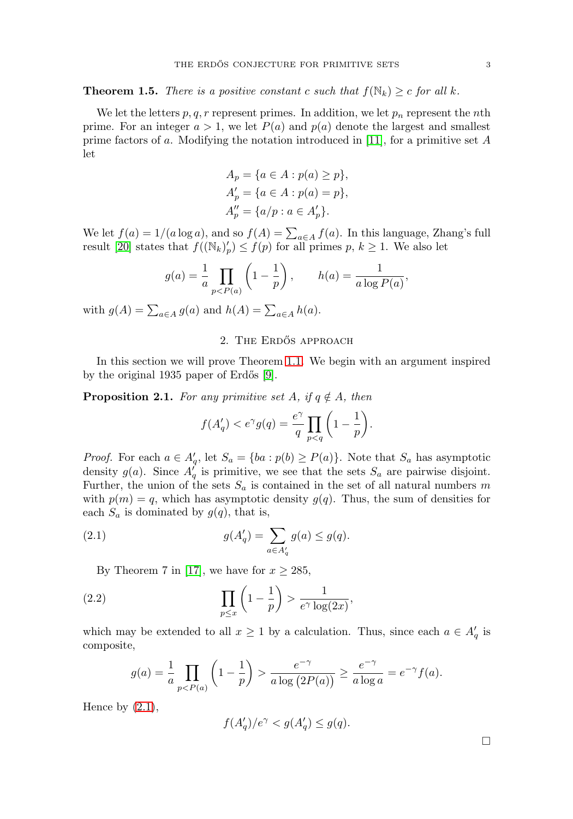<span id="page-2-3"></span>**Theorem 1.5.** There is a positive constant c such that  $f(\mathbb{N}_k) \ge c$  for all k.

We let the letters  $p, q, r$  represent primes. In addition, we let  $p_n$  represent the *n*th prime. For an integer  $a > 1$ , we let  $P(a)$  and  $p(a)$  denote the largest and smallest prime factors of a. Modifying the notation introduced in [\[11\]](#page-13-1), for a primitive set  $A$ let

$$
A_p = \{a \in A : p(a) \ge p\},\,
$$
  
\n
$$
A'_p = \{a \in A : p(a) = p\},\,
$$
  
\n
$$
A''_p = \{a/p : a \in A'_p\}.
$$

We let  $f(a) = 1/(a \log a)$ , and so  $f(A) = \sum_{a \in A} f(a)$ . In this language, Zhang's full result [\[20\]](#page-13-3) states that  $f((\mathbb{N}_k)'_p) \leq f(p)$  for all primes  $p, k \geq 1$ . We also let

$$
g(a) = \frac{1}{a} \prod_{p < P(a)} \left( 1 - \frac{1}{p} \right), \qquad h(a) = \frac{1}{a \log P(a)},
$$

with  $g(A) = \sum_{a \in A} g(a)$  and  $h(A) = \sum_{a \in A} h(a)$ .

## 2. THE ERDOS APPROACH

In this section we will prove Theorem [1.1.](#page-1-2) We begin with an argument inspired by the original  $1935$  paper of Erdős [\[9\]](#page-12-1).

<span id="page-2-0"></span>**Proposition 2.1.** For any primitive set A, if  $q \notin A$ , then

$$
f(A'_q) < e^\gamma g(q) = \frac{e^\gamma}{q} \prod_{p < q} \left( 1 - \frac{1}{p} \right).
$$

*Proof.* For each  $a \in A'_q$ , let  $S_a = \{ba : p(b) \geq P(a)\}\$ . Note that  $S_a$  has asymptotic density  $g(a)$ . Since  $A'_q$  is primitive, we see that the sets  $S_a$  are pairwise disjoint. Further, the union of the sets  $S_a$  is contained in the set of all natural numbers m with  $p(m) = q$ , which has asymptotic density  $q(q)$ . Thus, the sum of densities for each  $S_a$  is dominated by  $g(q)$ , that is,

<span id="page-2-1"></span>(2.1) 
$$
g(A'_q) = \sum_{a \in A'_q} g(a) \le g(q).
$$

By Theorem 7 in [\[17\]](#page-13-4), we have for  $x \ge 285$ ,

<span id="page-2-2"></span>(2.2) 
$$
\prod_{p\leq x}\left(1-\frac{1}{p}\right) > \frac{1}{e^{\gamma}\log(2x)},
$$

which may be extended to all  $x \geq 1$  by a calculation. Thus, since each  $a \in A'_q$  is composite,

$$
g(a) = \frac{1}{a} \prod_{p < P(a)} \left( 1 - \frac{1}{p} \right) > \frac{e^{-\gamma}}{a \log \left( 2P(a) \right)} \ge \frac{e^{-\gamma}}{a \log a} = e^{-\gamma} f(a).
$$

Hence by  $(2.1)$ ,

$$
f(A'_q)/e^{\gamma} < g(A'_q) \le g(q).
$$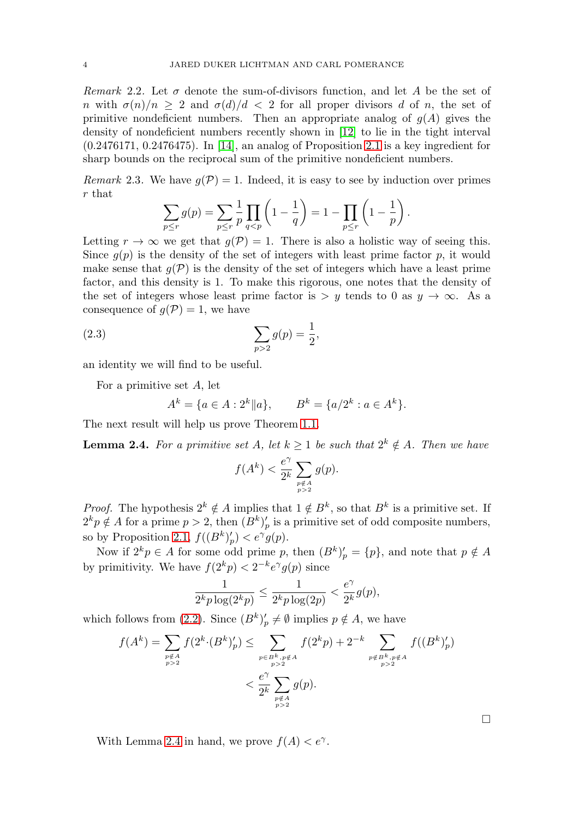Remark 2.2. Let  $\sigma$  denote the sum-of-divisors function, and let A be the set of n with  $\sigma(n)/n \geq 2$  and  $\sigma(d)/d < 2$  for all proper divisors d of n, the set of primitive nondeficient numbers. Then an appropriate analog of  $g(A)$  gives the density of nondeficient numbers recently shown in [\[12\]](#page-13-5) to lie in the tight interval (0.2476171, 0.2476475). In [\[14\]](#page-13-6), an analog of Proposition [2.1](#page-2-0) is a key ingredient for sharp bounds on the reciprocal sum of the primitive nondeficient numbers.

Remark 2.3. We have  $q(\mathcal{P}) = 1$ . Indeed, it is easy to see by induction over primes r that

$$
\sum_{p \le r} g(p) = \sum_{p \le r} \frac{1}{p} \prod_{q < p} \left( 1 - \frac{1}{q} \right) = 1 - \prod_{p \le r} \left( 1 - \frac{1}{p} \right).
$$

Letting  $r \to \infty$  we get that  $q(\mathcal{P}) = 1$ . There is also a holistic way of seeing this. Since  $q(p)$  is the density of the set of integers with least prime factor p, it would make sense that  $q(\mathcal{P})$  is the density of the set of integers which have a least prime factor, and this density is 1. To make this rigorous, one notes that the density of the set of integers whose least prime factor is  $>y$  tends to 0 as  $y \to \infty$ . As a consequence of  $g(\mathcal{P})=1$ , we have

<span id="page-3-1"></span>(2.3) 
$$
\sum_{p>2} g(p) = \frac{1}{2},
$$

an identity we will find to be useful.

For a primitive set A, let

$$
A^k = \{ a \in A : 2^k || a \}, \qquad B^k = \{ a/2^k : a \in A^k \}.
$$

The next result will help us prove Theorem [1.1.](#page-1-2)

<span id="page-3-0"></span>**Lemma 2.4.** For a primitive set A, let  $k \geq 1$  be such that  $2^k \notin A$ . Then we have

$$
f(A^k) < \frac{e^\gamma}{2^k} \sum_{\substack{p \notin A \\ p > 2}} g(p).
$$

*Proof.* The hypothesis  $2^k \notin A$  implies that  $1 \notin B^k$ , so that  $B^k$  is a primitive set. If  $2^k p \notin A$  for a prime  $p > 2$ , then  $(B^k)'_p$  is a primitive set of odd composite numbers, so by Proposition [2.1,](#page-2-0)  $f((B^k)'_p) < e^{\gamma}g(p)$ .

Now if  $2^k p \in A$  for some odd prime p, then  $(B^k)'_p = \{p\}$ , and note that  $p \notin A$ by primitivity. We have  $f(2^k p) < 2^{-k} e^{\gamma} g(p)$  since

$$
\frac{1}{2^k p \log(2^k p)} \le \frac{1}{2^k p \log(2p)} < \frac{e^\gamma}{2^k} g(p),
$$

which follows from [\(2.2\)](#page-2-2). Since  $(B^k)'_p \neq \emptyset$  implies  $p \notin A$ , we have

$$
f(A^{k}) = \sum_{\substack{p \notin A \\ p>2}} f(2^{k} \cdot (B^{k})'_{p}) \le \sum_{\substack{p \in B^{k}, p \notin A \\ p>2}} f(2^{k}p) + 2^{-k} \sum_{\substack{p \notin B^{k}, p \notin A \\ p>2}} f((B^{k})'_{p})
$$
  

$$
< \frac{e^{\gamma}}{2^{k}} \sum_{\substack{p \notin A \\ p>2}} g(p).
$$

 $\Box$ 

With Lemma [2.4](#page-3-0) in hand, we prove  $f(A) < e^{\gamma}$ .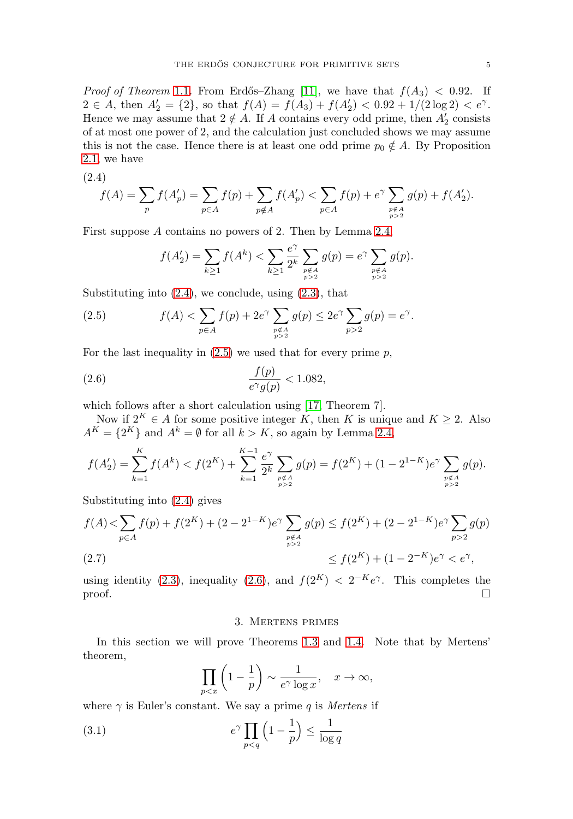*Proof of Theorem [1.1](#page-1-2).* From Erdős–Zhang [\[11\]](#page-13-1), we have that  $f(A_3) < 0.92$ . If  $2 \in A$ , then  $A'_2 = \{2\}$ , so that  $f(A) = f(A_3) + f(A'_2) < 0.92 + 1/(2 \log 2) < e^{\gamma}$ . Hence we may assume that  $2 \notin A$ . If A contains every odd prime, then  $A'_2$  consists of at most one power of 2, and the calculation just concluded shows we may assume this is not the case. Hence there is at least one odd prime  $p_0 \notin A$ . By Proposition [2.1,](#page-2-0) we have

<span id="page-4-0"></span>
$$
(2.4)
$$

$$
f(A)=\sum_p f(A'_p)=\sum_{p\in A} f(p)+\sum_{p\not\in A} f(A'_p)<\sum_{p\in A} f(p)+e^\gamma\sum_{p\not\in A} g(p)+f(A'_2).
$$

First suppose A contains no powers of 2. Then by Lemma [2.4,](#page-3-0)

$$
f(A_2') = \sum_{k \ge 1} f(A^k) < \sum_{k \ge 1} \frac{e^{\gamma}}{2^k} \sum_{\substack{p \notin A \\ p > 2}} g(p) = e^{\gamma} \sum_{\substack{p \notin A \\ p > 2}} g(p).
$$

Substituting into  $(2.4)$ , we conclude, using  $(2.3)$ , that

<span id="page-4-1"></span>(2.5) 
$$
f(A) < \sum_{p \in A} f(p) + 2e^{\gamma} \sum_{\substack{p \notin A \\ p > 2}} g(p) \le 2e^{\gamma} \sum_{p > 2} g(p) = e^{\gamma}.
$$

For the last inequality in  $(2.5)$  we used that for every prime p,

<span id="page-4-2"></span>
$$
\frac{f(p)}{e^{\gamma}g(p)} < 1.082,
$$

which follows after a short calculation using [\[17,](#page-13-4) Theorem 7].

Now if  $2^K \in A$  for some positive integer K, then K is unique and  $K \geq 2$ . Also  $A^K = \{2^K\}$  and  $A^k = \emptyset$  for all  $k > K$ , so again by Lemma [2.4,](#page-3-0)

$$
f(A_2') = \sum_{k=1}^K f(A^k) < f(2^K) + \sum_{k=1}^{K-1} \frac{e^\gamma}{2^k} \sum_{\substack{p \notin A \\ p > 2}} g(p) = f(2^K) + (1 - 2^{1-K})e^\gamma \sum_{\substack{p \notin A \\ p > 2}} g(p).
$$

Substituting into [\(2.4\)](#page-4-0) gives

$$
f(A) < \sum_{p \in A} f(p) + f(2^K) + (2 - 2^{1-K})e^{\gamma} \sum_{\substack{p \notin A \\ p > 2}} g(p) \le f(2^K) + (2 - 2^{1-K})e^{\gamma} \sum_{p > 2} g(p)
$$
  
(2.7) 
$$
\le f(2^K) + (1 - 2^{-K})e^{\gamma} < e^{\gamma},
$$

<span id="page-4-4"></span>using identity [\(2.3\)](#page-3-1), inequality [\(2.6\)](#page-4-2), and  $f(2^K) < 2^{-K}e^{\gamma}$ . This completes the  $\Box$  $\Box$ 

#### 3. Mertens primes

In this section we will prove Theorems [1.3](#page-1-3) and [1.4.](#page-1-1) Note that by Mertens' theorem,

$$
\prod_{p
$$

where  $\gamma$  is Euler's constant. We say a prime q is Mertens if

<span id="page-4-3"></span>(3.1) 
$$
e^{\gamma} \prod_{p < q} \left(1 - \frac{1}{p}\right) \le \frac{1}{\log q}
$$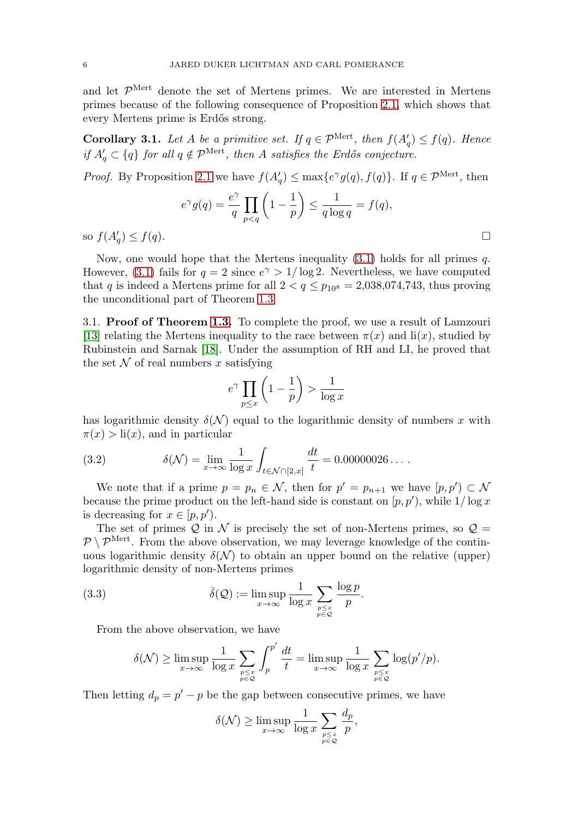and let  $\mathcal{P}^{\text{Mert}}$  denote the set of Mertens primes. We are interested in Mertens primes because of the following consequence of Proposition [2.1,](#page-2-0) which shows that every Mertens prime is Erdős strong.

<span id="page-5-1"></span>**Corollary 3.1.** Let A be a primitive set. If  $q \in \mathcal{P}^{\text{Mert}}$ , then  $f(A'_q) \leq f(q)$ . Hence if  $A'_q \,\subset \{q\}$  for all  $q \notin \mathcal{P}^{\text{Mert}}$ , then A satisfies the Erdős conjecture.

*Proof.* By Proposition [2.1](#page-2-0) we have  $f(A'_q) \leq \max\{e^{\gamma}g(q), f(q)\}\$ . If  $q \in \mathcal{P}^{\text{Mert}}$ , then

$$
e^{\gamma}g(q) = \frac{e^{\gamma}}{q} \prod_{p < q} \left(1 - \frac{1}{p}\right) \le \frac{1}{q \log q} = f(q),
$$
  
so  $f(A'_q) \le f(q)$ .

Now, one would hope that the Mertens inequality  $(3.1)$  holds for all primes q. However, [\(3.1\)](#page-4-3) fails for  $q = 2$  since  $e^{\gamma} > 1/\log 2$ . Nevertheless, we have computed that q is indeed a Mertens prime for all  $2 < q \le p_{10^8} = 2,038,074,743$ , thus proving the unconditional part of Theorem [1.3.](#page-1-3)

3.1. **Proof of Theorem [1.3.](#page-1-3)** To complete the proof, we use a result of Lamzouri [\[13\]](#page-13-2) relating the Mertens inequality to the race between  $\pi(x)$  and li(x), studied by Rubinstein and Sarnak [\[18\]](#page-13-7). Under the assumption of RH and LI, he proved that the set  $N$  of real numbers x satisfying

$$
e^{\gamma} \prod_{p \le x} \left( 1 - \frac{1}{p} \right) > \frac{1}{\log x}
$$

has logarithmic density  $\delta(\mathcal{N})$  equal to the logarithmic density of numbers x with  $\pi(x) > \text{li}(x)$ , and in particular

(3.2) 
$$
\delta(\mathcal{N}) = \lim_{x \to \infty} \frac{1}{\log x} \int_{t \in \mathcal{N} \cap [2, x]} \frac{dt}{t} = 0.00000026 \dots
$$

We note that if a prime  $p = p_n \in \mathcal{N}$ , then for  $p' = p_{n+1}$  we have  $[p, p') \subset \mathcal{N}$ because the prime product on the left-hand side is constant on  $(p, p')$ , while  $1/\log x$ is decreasing for  $x \in [p, p')$ .

The set of primes  $\mathcal{Q}$  in N is precisely the set of non-Mertens primes, so  $\mathcal{Q} =$  $P\setminus\mathcal{P}^{\text{Mert}}$ . From the above observation, we may leverage knowledge of the continuous logarithmic density  $\delta(\mathcal{N})$  to obtain an upper bound on the relative (upper) logarithmic density of non-Mertens primes

<span id="page-5-0"></span>(3.3) 
$$
\bar{\delta}(\mathcal{Q}) := \limsup_{x \to \infty} \frac{1}{\log x} \sum_{\substack{p \leq x \\ p \in \mathcal{Q}}} \frac{\log p}{p}.
$$

From the above observation, we have

$$
\delta(\mathcal{N}) \ge \limsup_{x \to \infty} \frac{1}{\log x} \sum_{\substack{p \le x \\ p \in \mathcal{Q}}} \int_p^{p'} \frac{dt}{t} = \limsup_{x \to \infty} \frac{1}{\log x} \sum_{\substack{p \le x \\ p \in \mathcal{Q}}} \log(p'/p).
$$

Then letting  $d_p = p' - p$  be the gap between consecutive primes, we have

$$
\delta(\mathcal{N}) \ge \limsup_{x \to \infty} \frac{1}{\log x} \sum_{\substack{p \le x \\ p \in \mathcal{Q}}} \frac{d_p}{p},
$$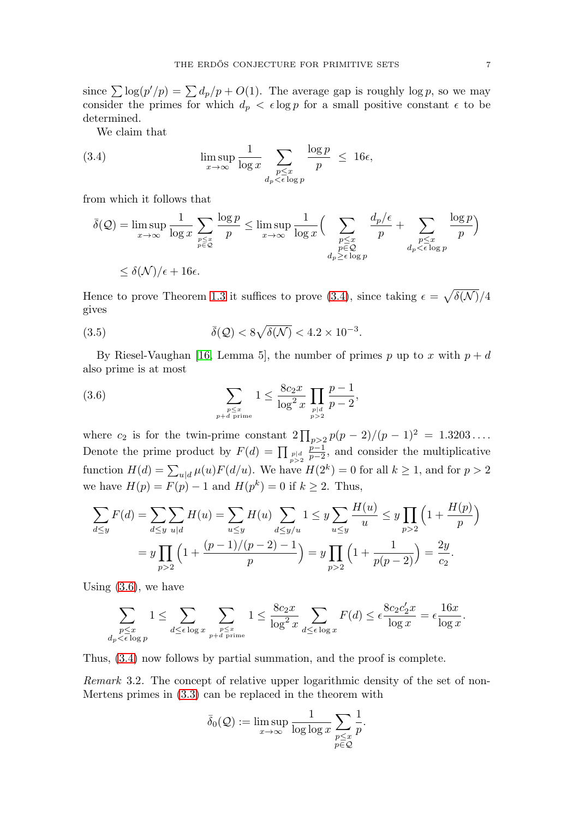since  $\sum \log(p'/p) = \sum d_p/p + O(1)$ . The average gap is roughly log p, so we may consider the primes for which  $d_p < \epsilon \log p$  for a small positive constant  $\epsilon$  to be determined.

We claim that

<span id="page-6-0"></span>(3.4) 
$$
\limsup_{x \to \infty} \frac{1}{\log x} \sum_{\substack{p \le x \\ d_p < \epsilon \log p}} \frac{\log p}{p} \le 16\epsilon,
$$

from which it follows that

$$
\overline{\delta}(\mathcal{Q}) = \limsup_{x \to \infty} \frac{1}{\log x} \sum_{\substack{p \le x \\ p \in \mathcal{Q}}} \frac{\log p}{p} \le \limsup_{x \to \infty} \frac{1}{\log x} \Big( \sum_{\substack{p \le x \\ p \in \mathcal{Q} \\ d_p \ge \epsilon \log p}} \frac{d_p/\epsilon}{p} + \sum_{\substack{p \le x \\ d_p < \epsilon \log p}} \frac{\log p}{p} \Big)
$$
\n
$$
\le \delta(\mathcal{N})/\epsilon + 16\epsilon.
$$

Hence to prove Theorem [1.3](#page-1-3) it suffices to prove [\(3.4\)](#page-6-0), since taking  $\epsilon = \sqrt{\delta(\mathcal{N})}/4$ gives

(3.5) 
$$
\overline{\delta}(\mathcal{Q}) < 8\sqrt{\delta(\mathcal{N})} < 4.2 \times 10^{-3}.
$$

By Riesel-Vaughan [\[16,](#page-13-8) Lemma 5], the number of primes p up to x with  $p + d$ also prime is at most

<span id="page-6-1"></span>(3.6) 
$$
\sum_{\substack{p \le x \\ p+d \text{ prime}}} 1 \le \frac{8c_2 x}{\log^2 x} \prod_{\substack{p \mid d \\ p>2}} \frac{p-1}{p-2},
$$

where  $c_2$  is for the twin-prime constant  $2 \prod_{p>2} p(p-2)/(p-1)^2 = 1.3203...$ Denote the prime product by  $F(d) = \prod_{p > 2} \frac{p-1}{p-2}$ , and consider the multiplicative function  $H(d) = \sum_{u|d} \mu(u) F(d/u)$ . We have  $H(2^k) = 0$  for all  $k \ge 1$ , and for  $p > 2$ we have  $H(p) = F(p) - 1$  and  $H(p^k) = 0$  if  $k \ge 2$ . Thus,

$$
\sum_{d \le y} F(d) = \sum_{d \le y} \sum_{u|d} H(u) = \sum_{u \le y} H(u) \sum_{d \le y/u} 1 \le y \sum_{u \le y} \frac{H(u)}{u} \le y \prod_{p>2} \left( 1 + \frac{H(p)}{p} \right)
$$
  
=  $y \prod_{p>2} \left( 1 + \frac{(p-1)/(p-2) - 1}{p} \right) = y \prod_{p>2} \left( 1 + \frac{1}{p(p-2)} \right) = \frac{2y}{c_2}.$ 

Using [\(3.6\)](#page-6-1), we have

$$
\sum_{\substack{p \le x \\ d_p < \epsilon \log p}} 1 \le \sum_{d \le \epsilon \log x} \sum_{\substack{p \le x \\ p+d \text{ prime}}} 1 \le \frac{8c_2 x}{\log^2 x} \sum_{d \le \epsilon \log x} F(d) \le \epsilon \frac{8c_2 c_2' x}{\log x} = \epsilon \frac{16x}{\log x}.
$$

Thus, [\(3.4\)](#page-6-0) now follows by partial summation, and the proof is complete.

Remark 3.2. The concept of relative upper logarithmic density of the set of non-Mertens primes in [\(3.3\)](#page-5-0) can be replaced in the theorem with

$$
\bar{\delta}_0(\mathcal{Q}) := \limsup_{x \to \infty} \frac{1}{\log \log x} \sum_{\substack{p \leq x \\ p \in \mathcal{Q}}} \frac{1}{p}.
$$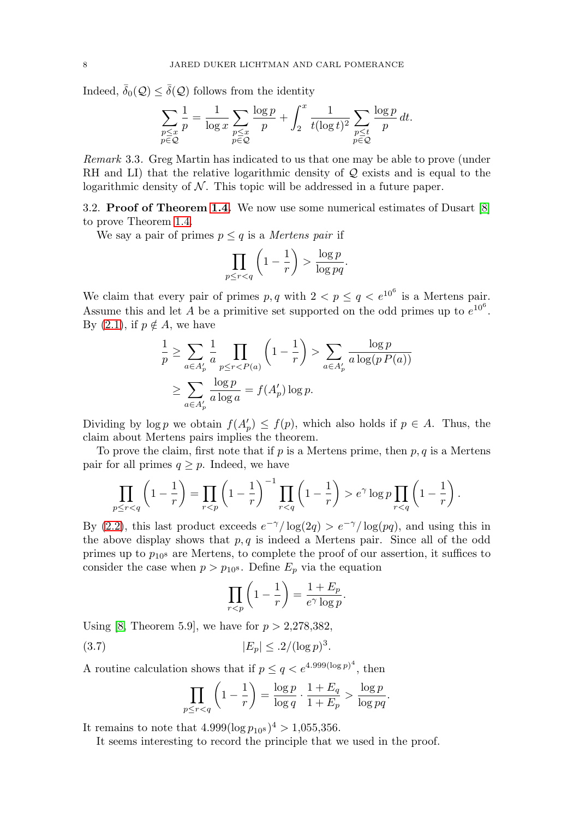Indeed,  $\bar{\delta}_0(\mathcal{Q}) \leq \bar{\delta}(\mathcal{Q})$  follows from the identity

$$
\sum_{\substack{p \leq x \\ p \in \mathcal{Q}}} \frac{1}{p} = \frac{1}{\log x} \sum_{\substack{p \leq x \\ p \in \mathcal{Q}}} \frac{\log p}{p} + \int_2^x \frac{1}{t (\log t)^2} \sum_{\substack{p \leq t \\ p \in \mathcal{Q}}} \frac{\log p}{p} dt.
$$

<span id="page-7-1"></span>Remark 3.3. Greg Martin has indicated to us that one may be able to prove (under RH and LI) that the relative logarithmic density of  $Q$  exists and is equal to the logarithmic density of  $N$ . This topic will be addressed in a future paper.

3.2. **Proof of Theorem [1.4.](#page-1-1)** We now use some numerical estimates of Dusart [\[8\]](#page-12-6) to prove Theorem [1.4.](#page-1-1)

We say a pair of primes  $p \leq q$  is a *Mertens pair* if

$$
\prod_{p \le r < q} \left( 1 - \frac{1}{r} \right) > \frac{\log p}{\log pq}.
$$

We claim that every pair of primes  $p, q$  with  $2 < p \le q < e^{10^6}$  is a Mertens pair. Assume this and let A be a primitive set supported on the odd primes up to  $e^{10^6}$ . By [\(2.1\)](#page-2-1), if  $p \notin A$ , we have

$$
\frac{1}{p} \ge \sum_{a \in A'_p} \frac{1}{a} \prod_{p \le r < P(a)} \left( 1 - \frac{1}{r} \right) > \sum_{a \in A'_p} \frac{\log p}{a \log(p \cdot P(a))}
$$
\n
$$
\ge \sum_{a \in A'_p} \frac{\log p}{a \log a} = f(A'_p) \log p.
$$

Dividing by  $\log p$  we obtain  $f(A'_p) \leq f(p)$ , which also holds if  $p \in A$ . Thus, the claim about Mertens pairs implies the theorem.

To prove the claim, first note that if  $p$  is a Mertens prime, then  $p, q$  is a Mertens pair for all primes  $q \geq p$ . Indeed, we have

$$
\prod_{p \leq r < q} \left( 1 - \frac{1}{r} \right) = \prod_{r < p} \left( 1 - \frac{1}{r} \right)^{-1} \prod_{r < q} \left( 1 - \frac{1}{r} \right) > e^{\gamma} \log p \prod_{r < q} \left( 1 - \frac{1}{r} \right).
$$

By [\(2.2\)](#page-2-2), this last product exceeds  $e^{-\gamma}/\log(2q) > e^{-\gamma}/\log(pq)$ , and using this in the above display shows that  $p, q$  is indeed a Mertens pair. Since all of the odd primes up to  $p_{108}$  are Mertens, to complete the proof of our assertion, it suffices to consider the case when  $p>p_{10}$ 8. Define  $E_p$  via the equation

$$
\prod_{r < p} \left( 1 - \frac{1}{r} \right) = \frac{1 + E_p}{e^\gamma \log p}.
$$

Using [\[8,](#page-12-6) Theorem 5.9], we have for  $p > 2,278,382$ ,

<span id="page-7-0"></span>(3.7) 
$$
|E_p| \leq .2/(\log p)^3.
$$

A routine calculation shows that if  $p \le q < e^{4.999(\log p)^4}$ , then

$$
\prod_{p \le r < q} \left( 1 - \frac{1}{r} \right) = \frac{\log p}{\log q} \cdot \frac{1 + E_q}{1 + E_p} > \frac{\log p}{\log pq}.
$$

It remains to note that  $4.999(\log p_{10^8})^4 > 1,055,356$ .

It seems interesting to record the principle that we used in the proof.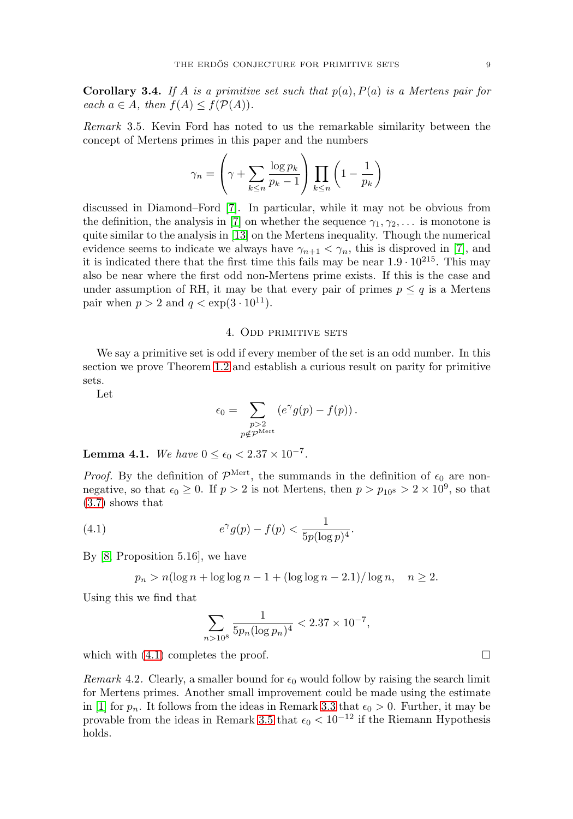**Corollary 3.4.** If A is a primitive set such that  $p(a)$ ,  $P(a)$  is a Mertens pair for each  $a \in A$ , then  $f(A) \leq f(\mathcal{P}(A))$ .

<span id="page-8-1"></span>Remark 3.5. Kevin Ford has noted to us the remarkable similarity between the concept of Mertens primes in this paper and the numbers

$$
\gamma_n = \left(\gamma + \sum_{k \le n} \frac{\log p_k}{p_k - 1} \right) \prod_{k \le n} \left(1 - \frac{1}{p_k}\right)
$$

discussed in Diamond–Ford [\[7\]](#page-12-7). In particular, while it may not be obvious from the definition, the analysis in [\[7\]](#page-12-7) on whether the sequence  $\gamma_1, \gamma_2, \ldots$  is monotone is quite similar to the analysis in [\[13\]](#page-13-2) on the Mertens inequality. Though the numerical evidence seems to indicate we always have  $\gamma_{n+1} < \gamma_n$ , this is disproved in [\[7\]](#page-12-7), and it is indicated there that the first time this fails may be near  $1.9 \cdot 10^{215}$ . This may also be near where the first odd non-Mertens prime exists. If this is the case and under assumption of RH, it may be that every pair of primes  $p \leq q$  is a Mertens pair when  $p > 2$  and  $q < \exp(3 \cdot 10^{11})$ .

#### 4. Odd primitive sets

We say a primitive set is odd if every member of the set is an odd number. In this section we prove Theorem [1.2](#page-1-0) and establish a curious result on parity for primitive sets.

Let

$$
\epsilon_0 = \sum_{\substack{p>2 \ p \notin \mathcal{P}^{\text{Mert}}}} \left( e^{\gamma} g(p) - f(p) \right).
$$

<span id="page-8-2"></span>**Lemma 4.1.** We have  $0 \le \epsilon_0 < 2.37 \times 10^{-7}$ .

*Proof.* By the definition of  $\mathcal{P}^{\text{Mert}}$ , the summands in the definition of  $\epsilon_0$  are nonnegative, so that  $\epsilon_0 \geq 0$ . If  $p > 2$  is not Mertens, then  $p > p_{10^8} > 2 \times 10^9$ , so that [\(3.7\)](#page-7-0) shows that

<span id="page-8-0"></span>(4.1) 
$$
e^{\gamma}g(p) - f(p) < \frac{1}{5p(\log p)^4}.
$$

By [\[8,](#page-12-6) Proposition 5.16], we have

$$
p_n > n(\log n + \log \log n - 1 + (\log \log n - 2.1) / \log n, \quad n \ge 2.
$$

Using this we find that

$$
\sum_{n>10^8} \frac{1}{5p_n(\log p_n)^4} < 2.37 \times 10^{-7},
$$

which with  $(4.1)$  completes the proof.

*Remark* 4.2. Clearly, a smaller bound for  $\epsilon_0$  would follow by raising the search limit for Mertens primes. Another small improvement could be made using the estimate in [\[1\]](#page-12-8) for  $p_n$ . It follows from the ideas in Remark [3.3](#page-7-1) that  $\epsilon_0 > 0$ . Further, it may be provable from the ideas in Remark [3.5](#page-8-1) that  $\epsilon_0 < 10^{-12}$  if the Riemann Hypothesis holds.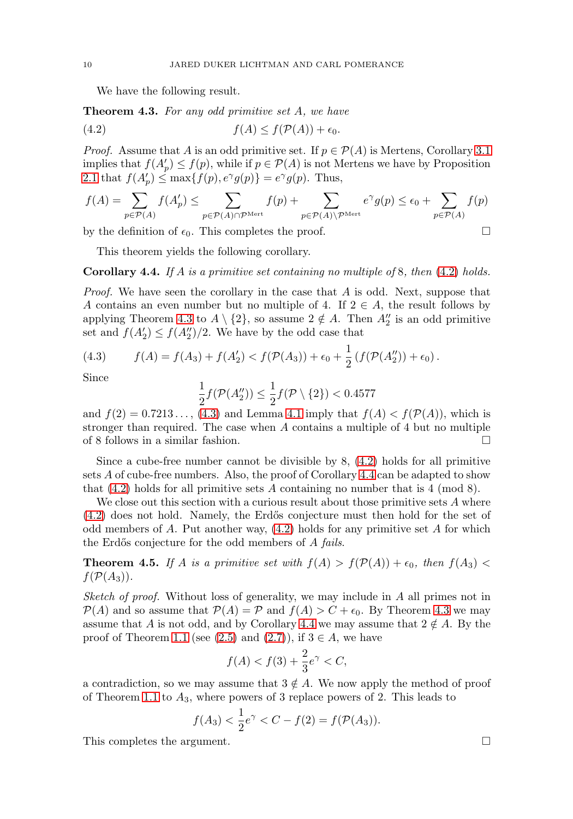We have the following result.

<span id="page-9-1"></span>**Theorem 4.3.** For any odd primitive set A, we have

<span id="page-9-0"></span>
$$
(4.2) \t\t f(A) \le f(\mathcal{P}(A)) + \epsilon_0.
$$

*Proof.* Assume that A is an odd primitive set. If  $p \in \mathcal{P}(A)$  is Mertens, Corollary [3.1](#page-5-1) implies that  $f(A_p') \leq f(p)$ , while if  $p \in \mathcal{P}(A)$  is not Mertens we have by Proposition [2.1](#page-2-0) that  $f(A_p') \leq \max\{f(p), e^{\gamma}g(p)\} = e^{\gamma}g(p)$ . Thus,

$$
f(A) = \sum_{p \in \mathcal{P}(A)} f(A'_p) \le \sum_{p \in \mathcal{P}(A) \cap \mathcal{P}^{\mathrm{Mert}}} f(p) + \sum_{p \in \mathcal{P}(A) \backslash \mathcal{P}^{\mathrm{Mert}}} e^{\gamma} g(p) \le \epsilon_0 + \sum_{p \in \mathcal{P}(A)} f(p)
$$

by the definition of  $\epsilon_0$ . This completes the proof.

This theorem yields the following corollary.

<span id="page-9-3"></span>**Corollary 4.4.** If A is a primitive set containing no multiple of 8, then [\(4.2\)](#page-9-0) holds.

*Proof.* We have seen the corollary in the case that  $A$  is odd. Next, suppose that A contains an even number but no multiple of 4. If  $2 \in A$ , the result follows by applying Theorem [4.3](#page-9-1) to  $A \setminus \{2\}$ , so assume  $2 \notin A$ . Then  $A_2''$  is an odd primitive set and  $f(A'_2) \le f(A''_2)/2$ . We have by the odd case that

<span id="page-9-2"></span>(4.3) 
$$
f(A) = f(A_3) + f(A'_2) < f(\mathcal{P}(A_3)) + \epsilon_0 + \frac{1}{2} \left( f(\mathcal{P}(A''_2)) + \epsilon_0 \right).
$$

Since

$$
\frac{1}{2}f(\mathcal{P}(A_2'')) \le \frac{1}{2}f(\mathcal{P} \setminus \{2\}) < 0.4577
$$

and  $f(2) = 0.7213...$ , [\(4.3\)](#page-9-2) and Lemma [4.1](#page-8-2) imply that  $f(A) < f(\mathcal{P}(A))$ , which is stronger than required. The case when A contains a multiple of 4 but no multiple of 8 follows in a similar fashion. -

Since a cube-free number cannot be divisible by 8, [\(4.2\)](#page-9-0) holds for all primitive sets A of cube-free numbers. Also, the proof of Corollary [4.4](#page-9-3) can be adapted to show that  $(4.2)$  holds for all primitive sets A containing no number that is 4 (mod 8).

We close out this section with a curious result about those primitive sets  $A$  where [\(4.2\)](#page-9-0) does not hold. Namely, the Erd˝os conjecture must then hold for the set of odd members of  $A$ . Put another way,  $(4.2)$  holds for any primitive set  $A$  for which the Erdős conjecture for the odd members of A fails.

**Theorem 4.5.** If A is a primitive set with  $f(A) > f(\mathcal{P}(A)) + \epsilon_0$ , then  $f(A_3) <$  $f(\mathcal{P}(A_3)).$ 

Sketch of proof. Without loss of generality, we may include in A all primes not in  $P(A)$  and so assume that  $P(A) = P$  and  $f(A) > C + \epsilon_0$ . By Theorem [4.3](#page-9-1) we may assume that A is not odd, and by Corollary [4.4](#page-9-3) we may assume that  $2 \notin A$ . By the proof of Theorem [1.1](#page-1-2) (see [\(2.5\)](#page-4-1) and [\(2.7\)](#page-4-4)), if  $3 \in A$ , we have

$$
f(A) < f(3) + \frac{2}{3}e^{\gamma} < C,
$$

a contradiction, so we may assume that  $3 \notin A$ . We now apply the method of proof of Theorem [1.1](#page-1-2) to  $A_3$ , where powers of 3 replace powers of 2. This leads to

$$
f(A_3) < \frac{1}{2}e^{\gamma} < C - f(2) = f(\mathcal{P}(A_3)).
$$

This completes the argument.  $\Box$ 

$$
f_{\rm{max}}
$$

 $\Box$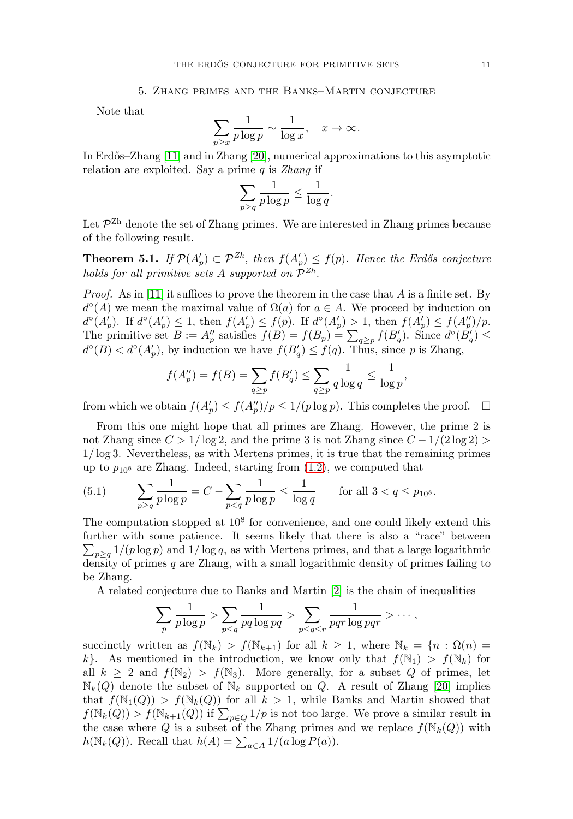#### 5. Zhang primes and the Banks–Martin conjecture

Note that

$$
\sum_{p\geq x} \frac{1}{p \log p} \sim \frac{1}{\log x}, \quad x \to \infty.
$$

In Erdős–Zhang [\[11\]](#page-13-1) and in Zhang [\[20\]](#page-13-3), numerical approximations to this asymptotic relation are exploited. Say a prime  $q$  is Zhang if

$$
\sum_{p\geq q} \frac{1}{p\log p} \leq \frac{1}{\log q}
$$

.

Let  $\mathcal{P}^{Zh}$  denote the set of Zhang primes. We are interested in Zhang primes because of the following result.

**Theorem 5.1.** If  $\mathcal{P}(A'_p) \subset \mathcal{P}^{Zh}$ , then  $f(A'_p) \leq f(p)$ . Hence the Erdős conjecture holds for all primitive sets A supported on  $\mathcal{P}^{Zh}$ .

*Proof.* As in [\[11\]](#page-13-1) it suffices to prove the theorem in the case that A is a finite set. By  $d^{\circ}(A)$  we mean the maximal value of  $\Omega(a)$  for  $a \in A$ . We proceed by induction on  $d^{\circ}(A'_{p})$ . If  $d^{\circ}(A'_{p}) \leq 1$ , then  $f(A'_{p}) \leq f(p)$ . If  $d^{\circ}(A'_{p}) > 1$ , then  $f(A'_{p}) \leq f(A''_{p})/p$ . The primitive set  $B := A_p''$  satisfies  $f(B) = f(B_p) = \sum_{q \geq p} f(B'_q)$ . Since  $d^{\circ}(B'_q) \leq$  $d^{\circ}(B) < d^{\circ}(A'_{p})$ , by induction we have  $f(B'_{q}) \leq f(q)$ . Thus, since p is Zhang,

$$
f(A_p'') = f(B) = \sum_{q \ge p} f(B_q') \le \sum_{q \ge p} \frac{1}{q \log q} \le \frac{1}{\log p},
$$

from which we obtain  $f(A_p') \leq f(A_p'')/p \leq 1/(p \log p)$ . This completes the proof.  $\Box$ 

From this one might hope that all primes are Zhang. However, the prime 2 is not Zhang since  $C > 1/\log 2$ , and the prime 3 is not Zhang since  $C - 1/(2 \log 2)$ 1/ log 3. Nevertheless, as with Mertens primes, it is true that the remaining primes up to  $p_{10}$ <sup>s</sup> are Zhang. Indeed, starting from  $(1.2)$ , we computed that

(5.1) 
$$
\sum_{p \ge q} \frac{1}{p \log p} = C - \sum_{p < q} \frac{1}{p \log p} \le \frac{1}{\log q} \quad \text{for all } 3 < q \le p_{10^8}.
$$

The computation stopped at  $10<sup>8</sup>$  for convenience, and one could likely extend this further with some patience. It seems likely that there is also a "race" between  $\sum_{p\geq q} 1/(p \log p)$  and  $1/\log q$ , as with Mertens primes, and that a large logarithmic density of primes  $q$  are Zhang, with a small logarithmic density of primes failing to be Zhang.

A related conjecture due to Banks and Martin [\[2\]](#page-12-4) is the chain of inequalities

$$
\sum_{p} \frac{1}{p \log p} > \sum_{p \leq q} \frac{1}{pq \log pq} > \sum_{p \leq q \leq r} \frac{1}{pqr \log pqr} > \cdots,
$$

succinctly written as  $f(\mathbb{N}_k) > f(\mathbb{N}_{k+1})$  for all  $k \geq 1$ , where  $\mathbb{N}_k = \{n : \Omega(n) =$ k}. As mentioned in the introduction, we know only that  $f(\mathbb{N}_1) > f(\mathbb{N}_k)$  for all  $k \geq 2$  and  $f(\mathbb{N}_2) > f(\mathbb{N}_3)$ . More generally, for a subset Q of primes, let  $\mathbb{N}_k(Q)$  denote the subset of  $\mathbb{N}_k$  supported on Q. A result of Zhang [\[20\]](#page-13-3) implies that  $f(\mathbb{N}_1(Q)) > f(\mathbb{N}_k(Q))$  for all  $k > 1$ , while Banks and Martin showed that  $f(\mathbb{N}_k(Q)) > f(\mathbb{N}_{k+1}(Q))$  if  $\sum_{p \in Q} 1/p$  is not too large. We prove a similar result in the case where Q is a subset of the Zhang primes and we replace  $f(\mathbb{N}_k(Q))$  with  $h(\mathbb{N}_k(Q))$ . Recall that  $h(A) = \sum_{a \in A} 1/(a \log P(a))$ .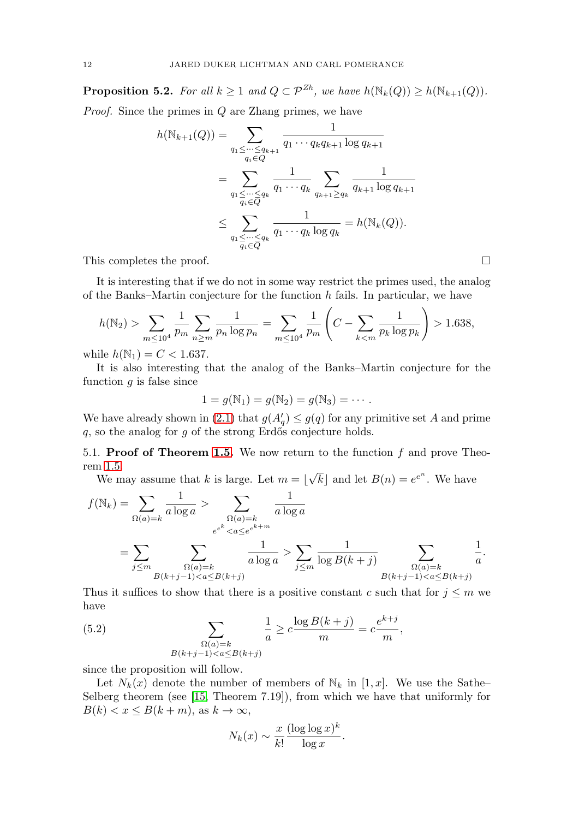**Proposition 5.2.** For all  $k \geq 1$  and  $Q \subset \mathcal{P}^{Zh}$ , we have  $h(\mathbb{N}_k(Q)) \geq h(\mathbb{N}_{k+1}(Q)).$ 

Proof. Since the primes in Q are Zhang primes, we have

$$
h(\mathbb{N}_{k+1}(Q)) = \sum_{\substack{q_1 \leq \dots \leq q_{k+1} \\ q_i \in Q}} \frac{1}{q_1 \cdots q_k q_{k+1} \log q_{k+1}}
$$
  
= 
$$
\sum_{\substack{q_1 \leq \dots \leq q_k \\ q_i \in \overline{Q}}} \frac{1}{q_1 \cdots q_k} \sum_{\substack{q_{k+1} \geq q_k \\ q_{k+1} \log q_{k+1}}} \frac{1}{q_{k+1} \log q_{k+1}}
$$
  

$$
\leq \sum_{\substack{q_1 \leq \dots \leq q_k \\ q_i \in \overline{Q}}} \frac{1}{q_1 \cdots q_k \log q_k} = h(\mathbb{N}_k(Q)).
$$

This completes the proof. -

It is interesting that if we do not in some way restrict the primes used, the analog of the Banks–Martin conjecture for the function  $h$  fails. In particular, we have

$$
h(\mathbb{N}_2) > \sum_{m \le 10^4} \frac{1}{p_m} \sum_{n \ge m} \frac{1}{p_n \log p_n} = \sum_{m \le 10^4} \frac{1}{p_m} \left( C - \sum_{k < m} \frac{1}{p_k \log p_k} \right) > 1.638,
$$

while  $h(\mathbb{N}_1) = C < 1.637$ .

It is also interesting that the analog of the Banks–Martin conjecture for the function  $q$  is false since

$$
1 = g(\mathbb{N}_1) = g(\mathbb{N}_2) = g(\mathbb{N}_3) = \cdots.
$$

We have already shown in [\(2.1\)](#page-2-1) that  $g(A'_{q}) \leq g(q)$  for any primitive set A and prime q, so the analog for q of the strong Erdős conjecture holds.

5.1. **Proof of Theorem [1.5.](#page-2-3)** We now return to the function f and prove Theorem [1.5.](#page-2-3)

We may assume that k is large. Let  $m = \lfloor$  $\sqrt{k}$  and let  $B(n) = e^{e^n}$ . We have

$$
f(\mathbb{N}_k) = \sum_{\Omega(a)=k} \frac{1}{a \log a} > \sum_{\substack{\Omega(a)=k \\ e^{e^k} < a \le e^{e^{k+m}}}} \frac{1}{a \log a} = \sum_{j \le m} \sum_{\substack{\Omega(a)=k \\ B(k+j-1) < a \le B(k+j)}} \frac{1}{a \log a} > \sum_{j \le m} \frac{1}{\log B(k+j)} \sum_{\substack{\Omega(a)=k \\ B(k+j-1) < a \le B(k+j)}} \frac{1}{a}.
$$

Thus it suffices to show that there is a positive constant c such that for  $j \leq m$  we have

<span id="page-11-0"></span>(5.2) 
$$
\sum_{\substack{\Omega(a)=k \ B(k+j-1)
$$

since the proposition will follow.

Let  $N_k(x)$  denote the number of members of  $\mathbb{N}_k$  in  $[1, x]$ . We use the Sathe– Selberg theorem (see [\[15,](#page-13-9) Theorem 7.19]), from which we have that uniformly for  $B(k) < x \leq B(k+m)$ , as  $k \to \infty$ ,

$$
N_k(x) \sim \frac{x}{k!} \frac{(\log \log x)^k}{\log x}.
$$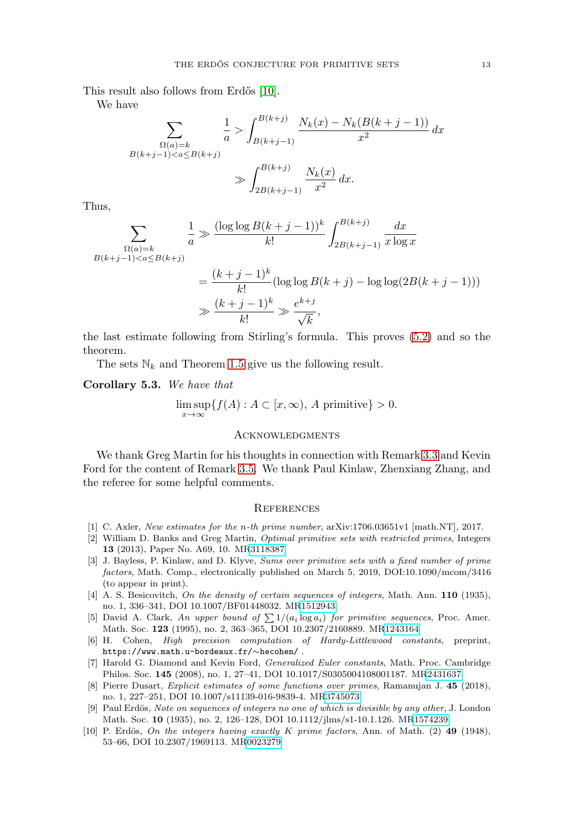This result also follows from Erdős [\[10\]](#page-12-9).

We have

$$
\sum_{\substack{\Omega(a)=k \ B(k+j-1) \int_{B(k+j-1)}^{B(k+j)} \frac{N_k(x)-N_k(B(k+j-1))}{x^2} dx
$$
\n
$$
\gg \int_{2B(k+j-1)}^{B(k+j)} \frac{N_k(x)}{x^2} dx.
$$

Thus,

$$
\sum_{\substack{\Omega(a)=k \ B(k+j-1)\n
$$
= \frac{(k+j-1)^k}{k!} (\log\log B(k+j) - \log\log(2B(k+j-1)))
$$
\n
$$
\gg \frac{(k+j-1)^k}{k!} \gg \frac{e^{k+j}}{\sqrt{k}},
$$
$$

the last estimate following from Stirling's formula. This proves [\(5.2\)](#page-11-0) and so the theorem.

The sets  $\mathbb{N}_k$  and Theorem [1.5](#page-2-3) give us the following result.

**Corollary 5.3.** We have that

$$
\limsup_{x \to \infty} \{ f(A) : A \subset [x, \infty), A \text{ primitive} \} > 0.
$$

### **ACKNOWLEDGMENTS**

We thank Greg Martin for his thoughts in connection with Remark [3.3](#page-7-1) and Kevin Ford for the content of Remark [3.5.](#page-8-1) We thank Paul Kinlaw, Zhenxiang Zhang, and the referee for some helpful comments.

#### **REFERENCES**

- <span id="page-12-8"></span>[1] C. Axler, New estimates for the n-th prime number, arXiv:1706.03651v1 [math.NT], 2017.
- <span id="page-12-4"></span>[2] William D. Banks and Greg Martin, Optimal primitive sets with restricted primes, Integers **13** (2013), Paper No. A69, 10. M[R3118387](https://www.ams.org/mathscinet-getitem?mr=3118387)
- <span id="page-12-5"></span>[3] J. Bayless, P. Kinlaw, and D. Klyve, Sums over primitive sets with a fixed number of prime factors, Math. Comp., electronically published on March 5, 2019, DOI:10.1090/mcom/3416 (to appear in print).
- <span id="page-12-0"></span>[4] A. S. Besicovitch, On the density of certain sequences of integers, Math. Ann. **110** (1935), no. 1, 336–341, DOI 10.1007/BF01448032. M[R1512943](https://www.ams.org/mathscinet-getitem?mr=1512943)
- <span id="page-12-3"></span>[5] David A. Clark, An upper bound of  $\sum 1/(a_i \log a_i)$  for primitive sequences, Proc. Amer. Math. Soc. **123** (1995), no. 2, 363–365, DOI 10.2307/2160889. M[R1243164](https://www.ams.org/mathscinet-getitem?mr=1243164)
- <span id="page-12-2"></span>[6] H. Cohen, High precision computation of Hardy-Littlewood constants, preprint, https://www.math.u-bordeaux.fr/∼hecohen/ .
- <span id="page-12-7"></span>[7] Harold G. Diamond and Kevin Ford, Generalized Euler constants, Math. Proc. Cambridge Philos. Soc. **145** (2008), no. 1, 27–41, DOI 10.1017/S0305004108001187. M[R2431637](https://www.ams.org/mathscinet-getitem?mr=2431637)
- <span id="page-12-6"></span>[8] Pierre Dusart, Explicit estimates of some functions over primes, Ramanujan J. **45** (2018), no. 1, 227–251, DOI 10.1007/s11139-016-9839-4. M[R3745073](https://www.ams.org/mathscinet-getitem?mr=3745073)
- <span id="page-12-1"></span>[9] Paul Erdös, Note on sequences of integers no one of which is divisible by any other, J. London Math. Soc. **10** (1935), no. 2, 126–128, DOI 10.1112/jlms/s1-10.1.126. M[R1574239](https://www.ams.org/mathscinet-getitem?mr=1574239)
- <span id="page-12-9"></span>[10] P. Erdös, On the integers having exactly K prime factors, Ann. of Math. (2) 49 (1948), 53–66, DOI 10.2307/1969113. M[R0023279](https://www.ams.org/mathscinet-getitem?mr=0023279)